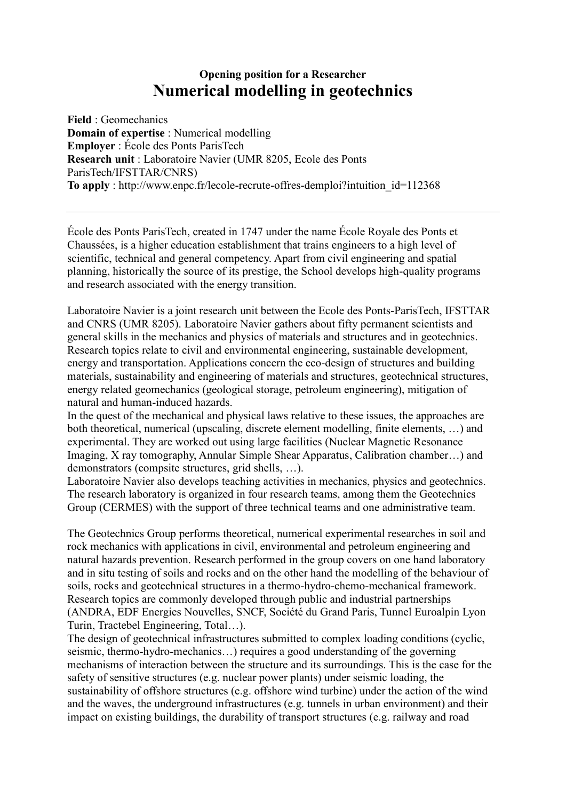## **Opening position for a Researcher Numerical modelling in geotechnics**

**Field** : Geomechanics **Domain of expertise** : Numerical modelling **Employer** : École des Ponts ParisTech **Research unit** : Laboratoire Navier (UMR 8205, Ecole des Ponts ParisTech/IFSTTAR/CNRS) **To apply** : http://www.enpc.fr/lecole-recrute-offres-demploi?intuition\_id=112368

École des Ponts ParisTech, created in 1747 under the name École Royale des Ponts et Chaussées, is a higher education establishment that trains engineers to a high level of scientific, technical and general competency. Apart from civil engineering and spatial planning, historically the source of its prestige, the School develops high-quality programs and research associated with the energy transition.

Laboratoire Navier is a joint research unit between the Ecole des Ponts-ParisTech, IFSTTAR and CNRS (UMR 8205). Laboratoire Navier gathers about fifty permanent scientists and general skills in the mechanics and physics of materials and structures and in geotechnics. Research topics relate to civil and environmental engineering, sustainable development, energy and transportation. Applications concern the eco-design of structures and building materials, sustainability and engineering of materials and structures, geotechnical structures, energy related geomechanics (geological storage, petroleum engineering), mitigation of natural and human-induced hazards.

In the quest of the mechanical and physical laws relative to these issues, the approaches are both theoretical, numerical (upscaling, discrete element modelling, finite elements, …) and experimental. They are worked out using large facilities (Nuclear Magnetic Resonance Imaging, X ray tomography, Annular Simple Shear Apparatus, Calibration chamber…) and demonstrators (compsite structures, grid shells, …).

Laboratoire Navier also develops teaching activities in mechanics, physics and geotechnics. The research laboratory is organized in four research teams, among them the Geotechnics Group (CERMES) with the support of three technical teams and one administrative team.

The Geotechnics Group performs theoretical, numerical experimental researches in soil and rock mechanics with applications in civil, environmental and petroleum engineering and natural hazards prevention. Research performed in the group covers on one hand laboratory and in situ testing of soils and rocks and on the other hand the modelling of the behaviour of soils, rocks and geotechnical structures in a thermo-hydro-chemo-mechanical framework. Research topics are commonly developed through public and industrial partnerships (ANDRA, EDF Energies Nouvelles, SNCF, Société du Grand Paris, Tunnel Euroalpin Lyon Turin, Tractebel Engineering, Total…).

The design of geotechnical infrastructures submitted to complex loading conditions (cyclic, seismic, thermo-hydro-mechanics…) requires a good understanding of the governing mechanisms of interaction between the structure and its surroundings. This is the case for the safety of sensitive structures (e.g. nuclear power plants) under seismic loading, the sustainability of offshore structures (e.g. offshore wind turbine) under the action of the wind and the waves, the underground infrastructures (e.g. tunnels in urban environment) and their impact on existing buildings, the durability of transport structures (e.g. railway and road